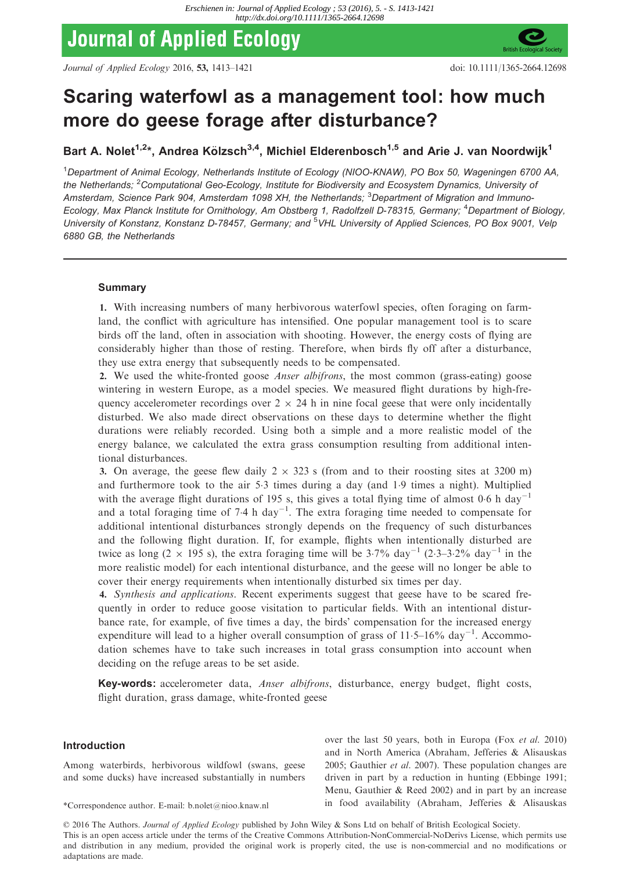# **Journal of Applied Ecology**



Journal of Applied Ecology 2016, 53, 1413–1421 doi: 10.1111/1365-2664.12698

# Scaring waterfowl as a management tool: how much more do geese forage after disturbance?

Bart A. Nolet<sup>1,2\*</sup>, Andrea Kölzsch<sup>3,4</sup>, Michiel Elderenbosch<sup>1,5</sup> and Arie J. van Noordwijk<sup>1</sup>

<sup>1</sup>Department of Animal Ecology, Netherlands Institute of Ecology (NIOO-KNAW), PO Box 50, Wageningen 6700 AA, the Netherlands; <sup>2</sup>Computational Geo-Ecology, Institute for Biodiversity and Ecosystem Dynamics, University o*f* Amsterdam, Science Park 904, Amsterdam 1098 XH, the Netherlands; <sup>3</sup>Department of Migration and Immuno-Ecology, Max Planck Institute for Ornithology, Am Obstberg 1, Radolfzell D-78315, Germany; <sup>4</sup>Department of Biology, University of Konstanz, Konstanz D-78457, Germany; and <sup>5</sup>VHL University of Applied Sciences, PO Box 9001, Velp 6880 GB, the Netherlands

# **Summary**

1. With increasing numbers of many herbivorous waterfowl species, often foraging on farmland, the conflict with agriculture has intensified. One popular management tool is to scare birds off the land, often in association with shooting. However, the energy costs of flying are considerably higher than those of resting. Therefore, when birds fly off after a disturbance, they use extra energy that subsequently needs to be compensated.

2. We used the white-fronted goose *Anser albifrons*, the most common (grass-eating) goose wintering in western Europe, as a model species. We measured flight durations by high-frequency accelerometer recordings over  $2 \times 24$  h in nine focal geese that were only incidentally disturbed. We also made direct observations on these days to determine whether the flight durations were reliably recorded. Using both a simple and a more realistic model of the energy balance, we calculated the extra grass consumption resulting from additional intentional disturbances.

3. On average, the geese flew daily  $2 \times 323$  s (from and to their roosting sites at 3200 m) and furthermore took to the air 53 times during a day (and 19 times a night). Multiplied with the average flight durations of 195 s, this gives a total flying time of almost 0.6 h day<sup>-1</sup> and a total foraging time of 7.4 h  $day^{-1}$ . The extra foraging time needed to compensate for additional intentional disturbances strongly depends on the frequency of such disturbances and the following flight duration. If, for example, flights when intentionally disturbed are twice as long (2  $\times$  195 s), the extra foraging time will be 3.7% day<sup>-1</sup> (2.3–3.2% day<sup>-1</sup> in the more realistic model) for each intentional disturbance, and the geese will no longer be able to cover their energy requirements when intentionally disturbed six times per day.

4. Synthesis and applications. Recent experiments suggest that geese have to be scared frequently in order to reduce goose visitation to particular fields. With an intentional disturbance rate, for example, of five times a day, the birds' compensation for the increased energy expenditure will lead to a higher overall consumption of grass of  $11.5-16\%$  day<sup>-1</sup>. Accommodation schemes have to take such increases in total grass consumption into account when deciding on the refuge areas to be set aside.

Key-words: accelerometer data, Anser albifrons, disturbance, energy budget, flight costs, flight duration, grass damage, white-fronted geese

# Introduction

Among waterbirds, herbivorous wildfowl (swans, geese and some ducks) have increased substantially in numbers

over the last 50 years, both in Europa (Fox et al. 2010) and in North America (Abraham, Jefferies & Alisauskas 2005; Gauthier et al. 2007). These population changes are driven in part by a reduction in hunting (Ebbinge 1991; Menu, Gauthier & Reed 2002) and in part by an increase \*Correspondence author. E-mail: b.nolet@nioo.knaw.nl in food availability (Abraham, Jefferies & Alisauskas

© 2016 The Authors. Journal of Applied Ecology published by John Wiley & Sons Ltd on behalf of British Ecological Society. This is an open access article under the terms of the [Creative Commons Attribution-NonCommercial-NoDerivs](http://creativecommons.org/licenses/by-nc-nd/4.0/) License, which permits use and distribution in any medium, provided the original work is properly cited, the use is non-commercial and no modifications or adaptations are made.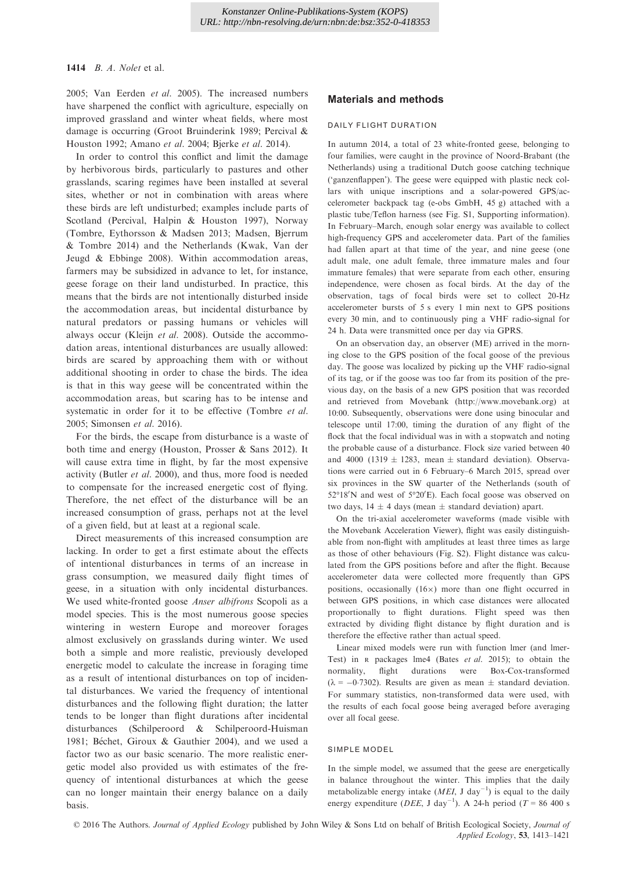1414 B. A. Nolet et al.

2005; Van Eerden et al. 2005). The increased numbers have sharpened the conflict with agriculture, especially on improved grassland and winter wheat fields, where most damage is occurring (Groot Bruinderink 1989; Percival & Houston 1992; Amano et al. 2004; Bjerke et al. 2014).

In order to control this conflict and limit the damage by herbivorous birds, particularly to pastures and other grasslands, scaring regimes have been installed at several sites, whether or not in combination with areas where these birds are left undisturbed; examples include parts of Scotland (Percival, Halpin & Houston 1997), Norway (Tombre, Eythorsson & Madsen 2013; Madsen, Bjerrum & Tombre 2014) and the Netherlands (Kwak, Van der Jeugd & Ebbinge 2008). Within accommodation areas, farmers may be subsidized in advance to let, for instance, geese forage on their land undisturbed. In practice, this means that the birds are not intentionally disturbed inside the accommodation areas, but incidental disturbance by natural predators or passing humans or vehicles will always occur (Kleijn et al. 2008). Outside the accommodation areas, intentional disturbances are usually allowed: birds are scared by approaching them with or without additional shooting in order to chase the birds. The idea is that in this way geese will be concentrated within the accommodation areas, but scaring has to be intense and systematic in order for it to be effective (Tombre et al. 2005; Simonsen et al. 2016).

For the birds, the escape from disturbance is a waste of both time and energy (Houston, Prosser & Sans 2012). It will cause extra time in flight, by far the most expensive activity (Butler et al. 2000), and thus, more food is needed to compensate for the increased energetic cost of flying. Therefore, the net effect of the disturbance will be an increased consumption of grass, perhaps not at the level of a given field, but at least at a regional scale.

Direct measurements of this increased consumption are lacking. In order to get a first estimate about the effects of intentional disturbances in terms of an increase in grass consumption, we measured daily flight times of geese, in a situation with only incidental disturbances. We used white-fronted goose *Anser albifrons* Scopoli as a model species. This is the most numerous goose species wintering in western Europe and moreover forages almost exclusively on grasslands during winter. We used both a simple and more realistic, previously developed energetic model to calculate the increase in foraging time as a result of intentional disturbances on top of incidental disturbances. We varied the frequency of intentional disturbances and the following flight duration; the latter tends to be longer than flight durations after incidental disturbances (Schilperoord & Schilperoord-Huisman 1981; Béchet, Giroux & Gauthier 2004), and we used a factor two as our basic scenario. The more realistic energetic model also provided us with estimates of the frequency of intentional disturbances at which the geese can no longer maintain their energy balance on a daily basis.

# Materials and methods

#### DAILY FLIGHT DURATION

In autumn 2014, a total of 23 white-fronted geese, belonging to four families, were caught in the province of Noord-Brabant (the Netherlands) using a traditional Dutch goose catching technique ('ganzenflappen'). The geese were equipped with plastic neck collars with unique inscriptions and a solar-powered GPS/accelerometer backpack tag (e-obs GmbH, 45 g) attached with a plastic tube/Teflon harness (see Fig. S1, Supporting information). In February–March, enough solar energy was available to collect high-frequency GPS and accelerometer data. Part of the families had fallen apart at that time of the year, and nine geese (one adult male, one adult female, three immature males and four immature females) that were separate from each other, ensuring independence, were chosen as focal birds. At the day of the observation, tags of focal birds were set to collect 20-Hz accelerometer bursts of 5 s every 1 min next to GPS positions every 30 min, and to continuously ping a VHF radio-signal for 24 h. Data were transmitted once per day via GPRS.

On an observation day, an observer (ME) arrived in the morning close to the GPS position of the focal goose of the previous day. The goose was localized by picking up the VHF radio-signal of its tag, or if the goose was too far from its position of the previous day, on the basis of a new GPS position that was recorded and retrieved from Movebank (<http://www.movebank.org>) at 10:00. Subsequently, observations were done using binocular and telescope until 17:00, timing the duration of any flight of the flock that the focal individual was in with a stopwatch and noting the probable cause of a disturbance. Flock size varied between 40 and 4000 (1319  $\pm$  1283, mean  $\pm$  standard deviation). Observations were carried out in 6 February–6 March 2015, spread over six provinces in the SW quarter of the Netherlands (south of  $52^{\circ}18'$ N and west of  $5^{\circ}20'E$ ). Each focal goose was observed on two days,  $14 \pm 4$  days (mean  $\pm$  standard deviation) apart.

On the tri-axial accelerometer waveforms (made visible with the Movebank Acceleration Viewer), flight was easily distinguishable from non-flight with amplitudes at least three times as large as those of other behaviours (Fig. S2). Flight distance was calculated from the GPS positions before and after the flight. Because accelerometer data were collected more frequently than GPS positions, occasionally  $(16\times)$  more than one flight occurred in between GPS positions, in which case distances were allocated proportionally to flight durations. Flight speed was then extracted by dividing flight distance by flight duration and is therefore the effective rather than actual speed.

Linear mixed models were run with function lmer (and lmer-Test) in <sup>R</sup> packages lme4 (Bates et al. 2015); to obtain the normality, flight durations were Box-Cox-transformed  $(\lambda = -0.7302)$ . Results are given as mean  $\pm$  standard deviation. For summary statistics, non-transformed data were used, with the results of each focal goose being averaged before averaging over all focal geese.

#### SIMPLE MODEL

In the simple model, we assumed that the geese are energetically in balance throughout the winter. This implies that the daily metabolizable energy intake  $(MEI, J day^{-1})$  is equal to the daily energy expenditure (*DEE*, J day<sup>-1</sup>). A 24-h period (*T* = 86 400 s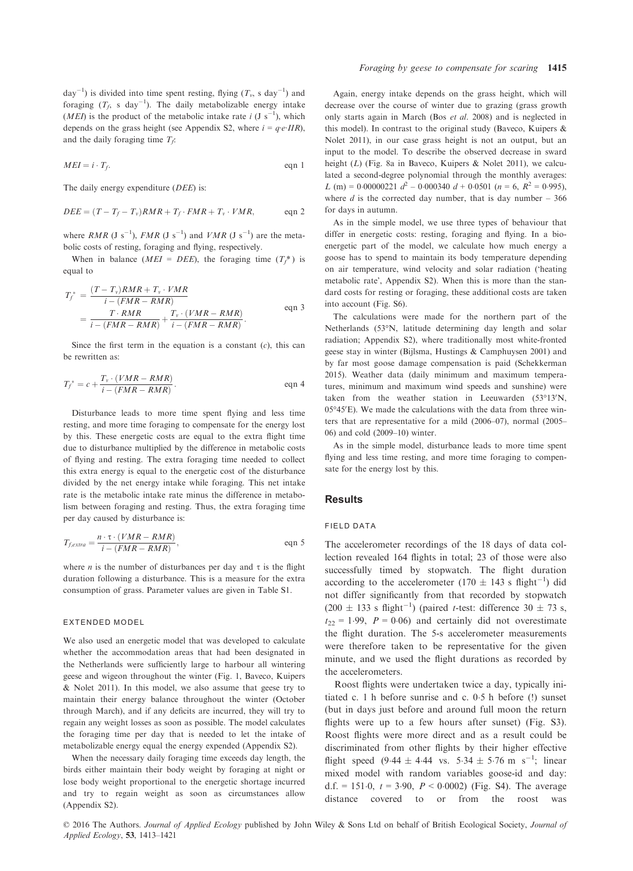$day^{-1}$ ) is divided into time spent resting, flying  $(T_v, s \, day^{-1})$  and foraging  $(T_f, s \, \text{day}^{-1})$ . The daily metabolizable energy intake (*MEI*) is the product of the metabolic intake rate i (J s<sup>-1</sup>), which depends on the grass height (see Appendix S2, where  $i = q \cdot e \cdot IIR$ ), and the daily foraging time  $T_f$ :

$$
MEI = i \cdot T_f.
$$
eqn 1

The daily energy expenditure (*DEE*) is:

$$
DEE = (T - T_f - T_v)RMR + T_f \cdot FMR + T_v \cdot VMR, \qquad \text{eqn 2}
$$

where *RMR* (J s<sup>-1</sup>), *FMR* (J s<sup>-1</sup>) and *VMR* (J s<sup>-1</sup>) are the metabolic costs of resting, foraging and flying, respectively.

When in balance (*MEI* = *DEE*), the foraging time ( $T_f^*$ ) is equal to

$$
T_f^* = \frac{(T - T_v)RMR + T_v \cdot VMR}{i - (FMR - RMR)}
$$
  
= 
$$
\frac{T \cdot RMR}{i - (FMR - RMR)} + \frac{T_v \cdot (VMR - RMR)}{i - (FMR - RMR)}
$$
eqn 3

Since the first term in the equation is a constant  $(c)$ , this can be rewritten as:

$$
T_f^* = c + \frac{T_v \cdot (VMR - RMR)}{i - (FMR - RMR)}.
$$
eqn 4

Disturbance leads to more time spent flying and less time resting, and more time foraging to compensate for the energy lost by this. These energetic costs are equal to the extra flight time due to disturbance multiplied by the difference in metabolic costs of flying and resting. The extra foraging time needed to collect this extra energy is equal to the energetic cost of the disturbance divided by the net energy intake while foraging. This net intake rate is the metabolic intake rate minus the difference in metabolism between foraging and resting. Thus, the extra foraging time per day caused by disturbance is:

$$
T_{f,extra} = \frac{n \cdot \tau \cdot (VMR - RMR)}{i - (FMR - RMR)}, \qquad \text{eqn 5}
$$

where *n* is the number of disturbances per day and  $\tau$  is the flight duration following a disturbance. This is a measure for the extra consumption of grass. Parameter values are given in Table S1.

#### EXTENDED MODEL

We also used an energetic model that was developed to calculate whether the accommodation areas that had been designated in the Netherlands were sufficiently large to harbour all wintering geese and wigeon throughout the winter (Fig. 1, Baveco, Kuipers & Nolet 2011). In this model, we also assume that geese try to maintain their energy balance throughout the winter (October through March), and if any deficits are incurred, they will try to regain any weight losses as soon as possible. The model calculates the foraging time per day that is needed to let the intake of metabolizable energy equal the energy expended (Appendix S2).

When the necessary daily foraging time exceeds day length, the birds either maintain their body weight by foraging at night or lose body weight proportional to the energetic shortage incurred and try to regain weight as soon as circumstances allow (Appendix S2).

Again, energy intake depends on the grass height, which will decrease over the course of winter due to grazing (grass growth only starts again in March (Bos et al. 2008) and is neglected in this model). In contrast to the original study (Baveco, Kuipers & Nolet 2011), in our case grass height is not an output, but an input to the model. To describe the observed decrease in sward height (L) (Fig. 8a in Baveco, Kuipers & Nolet 2011), we calculated a second-degree polynomial through the monthly averages: L (m) = 0.00000221  $d^2$  – 0.000340  $d$  + 0.0501 (n = 6,  $R^2$  = 0.995), where  $d$  is the corrected day number, that is day number – 366 for days in autumn.

As in the simple model, we use three types of behaviour that differ in energetic costs: resting, foraging and flying. In a bioenergetic part of the model, we calculate how much energy a goose has to spend to maintain its body temperature depending on air temperature, wind velocity and solar radiation ('heating metabolic rate', Appendix S2). When this is more than the standard costs for resting or foraging, these additional costs are taken into account (Fig. S6).

The calculations were made for the northern part of the Netherlands (53°N, latitude determining day length and solar radiation; Appendix S2), where traditionally most white-fronted geese stay in winter (Bijlsma, Hustings & Camphuysen 2001) and by far most goose damage compensation is paid (Schekkerman 2015). Weather data (daily minimum and maximum temperatures, minimum and maximum wind speeds and sunshine) were taken from the weather station in Leeuwarden  $(53^{\circ}13^{\prime}N,$  $05^{\circ}45^{\prime}$ E). We made the calculations with the data from three winters that are representative for a mild (2006–07), normal (2005– 06) and cold (2009–10) winter.

As in the simple model, disturbance leads to more time spent flying and less time resting, and more time foraging to compensate for the energy lost by this.

## **Results**

# FIELD DATA

The accelerometer recordings of the 18 days of data collection revealed 164 flights in total; 23 of those were also successfully timed by stopwatch. The flight duration according to the accelerometer  $(170 \pm 143 \text{ s flight}^{-1})$  did not differ significantly from that recorded by stopwatch  $(200 \pm 133 \text{ s flight}^{-1})$  (paired *t*-test: difference  $30 \pm 73 \text{ s}$ ,  $t_{22} = 1.99$ ,  $P = 0.06$ ) and certainly did not overestimate the flight duration. The 5-s accelerometer measurements were therefore taken to be representative for the given minute, and we used the flight durations as recorded by the accelerometers.

Roost flights were undertaken twice a day, typically initiated c. 1 h before sunrise and c. 05 h before (!) sunset (but in days just before and around full moon the return flights were up to a few hours after sunset) (Fig. S3). Roost flights were more direct and as a result could be discriminated from other flights by their higher effective flight speed  $(9.44 \pm 4.44 \text{ vs. } 5.34 \pm 5.76 \text{ m s}^{-1})$ ; linear mixed model with random variables goose-id and day: d.f. = 151.0,  $t = 3.90$ ,  $P < 0.0002$ ) (Fig. S4). The average distance covered to or from the roost was distance covered to or from the roost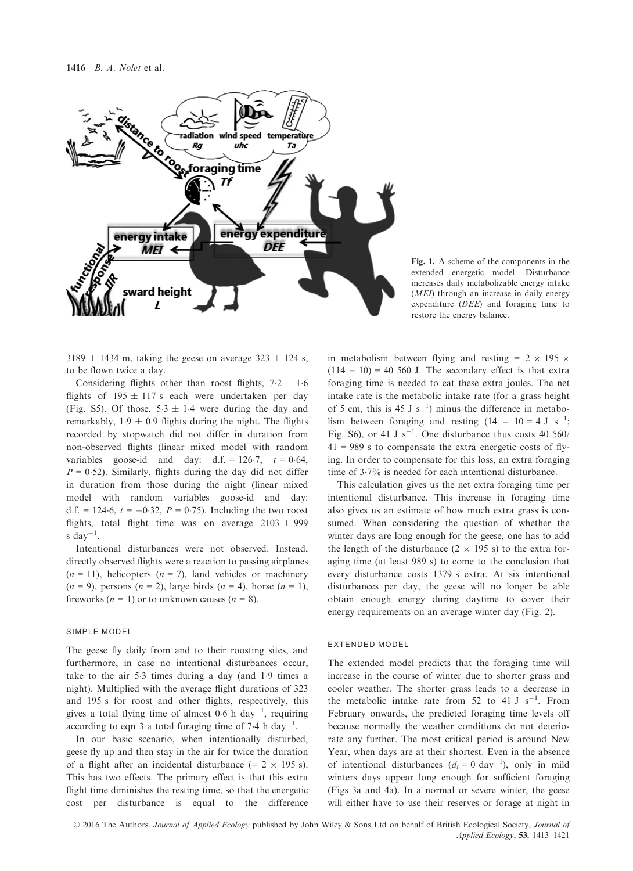

Fig. 1. A scheme of the components in the extended energetic model. Disturbance increases daily metabolizable energy intake  $(ME)$  through an increase in daily energy expenditure (DEE) and foraging time to restore the energy balance.

 $3189 \pm 1434$  m, taking the geese on average  $323 \pm 124$  s, to be flown twice a day.

Considering flights other than roost flights,  $7.2 \pm 1.6$ flights of  $195 \pm 117$  s each were undertaken per day (Fig. S5). Of those,  $5.3 \pm 1.4$  were during the day and remarkably,  $1.9 \pm 0.9$  flights during the night. The flights recorded by stopwatch did not differ in duration from non-observed flights (linear mixed model with random variables goose-id and day:  $d.f. = 126.7$ ,  $t = 0.64$ ,  $P = 0.52$ ). Similarly, flights during the day did not differ in duration from those during the night (linear mixed model with random variables goose-id and day: d.f. = 124.6,  $t = -0.32$ ,  $P = 0.75$ ). Including the two roost flights, total flight time was on average  $2103 \pm 999$  $s \, day^{-1}$ .

Intentional disturbances were not observed. Instead, directly observed flights were a reaction to passing airplanes  $(n = 11)$ , helicopters  $(n = 7)$ , land vehicles or machinery  $(n = 9)$ , persons  $(n = 2)$ , large birds  $(n = 4)$ , horse  $(n = 1)$ , fireworks  $(n = 1)$  or to unknown causes  $(n = 8)$ .

# SIMPLE MODEL

The geese fly daily from and to their roosting sites, and furthermore, in case no intentional disturbances occur, take to the air 53 times during a day (and 19 times a night). Multiplied with the average flight durations of 323 and 195 s for roost and other flights, respectively, this gives a total flying time of almost  $0.6$  h day<sup>-1</sup>, requiring according to eqn 3 a total foraging time of 7.4 h day<sup>-1</sup>.

In our basic scenario, when intentionally disturbed, geese fly up and then stay in the air for twice the duration of a flight after an incidental disturbance (=  $2 \times 195$  s). This has two effects. The primary effect is that this extra flight time diminishes the resting time, so that the energetic cost per disturbance is equal to the difference in metabolism between flying and resting =  $2 \times 195 \times$  $(114 - 10) = 40,560$  J. The secondary effect is that extra foraging time is needed to eat these extra joules. The net intake rate is the metabolic intake rate (for a grass height of 5 cm, this is 45 J  $s^{-1}$ ) minus the difference in metabolism between foraging and resting  $(14 - 10 = 4 \text{ J s}^{-1})$ ; Fig. S6), or 41 J s<sup>-1</sup>. One disturbance thus costs 40 560/  $41 = 989$  s to compensate the extra energetic costs of flying. In order to compensate for this loss, an extra foraging time of 37% is needed for each intentional disturbance.

This calculation gives us the net extra foraging time per intentional disturbance. This increase in foraging time also gives us an estimate of how much extra grass is consumed. When considering the question of whether the winter days are long enough for the geese, one has to add the length of the disturbance  $(2 \times 195 \text{ s})$  to the extra foraging time (at least 989 s) to come to the conclusion that every disturbance costs 1379 s extra. At six intentional disturbances per day, the geese will no longer be able obtain enough energy during daytime to cover their energy requirements on an average winter day (Fig. 2).

#### EXTENDED MODEL

The extended model predicts that the foraging time will increase in the course of winter due to shorter grass and cooler weather. The shorter grass leads to a decrease in the metabolic intake rate from 52 to 41 J  $s^{-1}$ . From February onwards, the predicted foraging time levels off because normally the weather conditions do not deteriorate any further. The most critical period is around New Year, when days are at their shortest. Even in the absence of intentional disturbances  $(d_i = 0 \text{ day}^{-1})$ , only in mild winters days appear long enough for sufficient foraging (Figs 3a and 4a). In a normal or severe winter, the geese will either have to use their reserves or forage at night in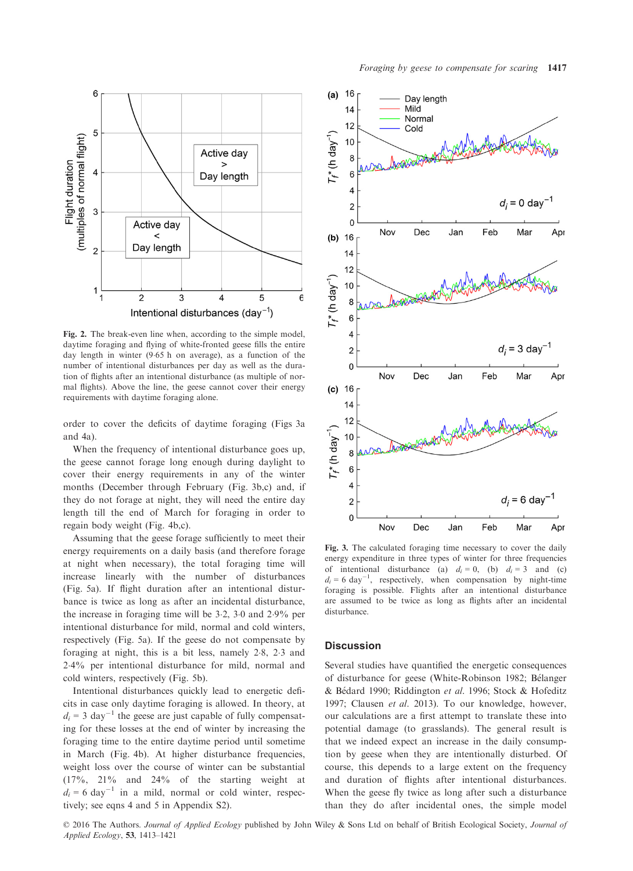

Fig. 2. The break-even line when, according to the simple model, daytime foraging and flying of white-fronted geese fills the entire day length in winter (965 h on average), as a function of the number of intentional disturbances per day as well as the duration of flights after an intentional disturbance (as multiple of normal flights). Above the line, the geese cannot cover their energy requirements with daytime foraging alone.

order to cover the deficits of daytime foraging (Figs 3a and 4a).

When the frequency of intentional disturbance goes up, the geese cannot forage long enough during daylight to cover their energy requirements in any of the winter months (December through February (Fig. 3b,c) and, if they do not forage at night, they will need the entire day length till the end of March for foraging in order to regain body weight (Fig. 4b,c).

Assuming that the geese forage sufficiently to meet their energy requirements on a daily basis (and therefore forage at night when necessary), the total foraging time will increase linearly with the number of disturbances (Fig. 5a). If flight duration after an intentional disturbance is twice as long as after an incidental disturbance, the increase in foraging time will be  $3.2$ ,  $3.0$  and  $2.9\%$  per intentional disturbance for mild, normal and cold winters, respectively (Fig. 5a). If the geese do not compensate by foraging at night, this is a bit less, namely 2.8, 2.3 and 24% per intentional disturbance for mild, normal and cold winters, respectively (Fig. 5b).

Intentional disturbances quickly lead to energetic deficits in case only daytime foraging is allowed. In theory, at  $d_i = 3 \text{ day}^{-1}$  the geese are just capable of fully compensating for these losses at the end of winter by increasing the foraging time to the entire daytime period until sometime in March (Fig. 4b). At higher disturbance frequencies, weight loss over the course of winter can be substantial (17%, 21% and 24% of the starting weight at  $d_i = 6 \text{ day}^{-1}$  in a mild, normal or cold winter, respectively; see eqns 4 and 5 in Appendix S2).



Fig. 3. The calculated foraging time necessary to cover the daily energy expenditure in three types of winter for three frequencies of intentional disturbance (a)  $d_i = 0$ , (b)  $d_i = 3$  and (c)  $d_i = 6 \text{ day}^{-1}$ , respectively, when compensation by night-time foraging is possible. Flights after an intentional disturbance are assumed to be twice as long as flights after an incidental disturbance.

# **Discussion**

Several studies have quantified the energetic consequences of disturbance for geese (White-Robinson 1982; Bélanger & Bédard 1990; Riddington et al. 1996; Stock & Hofeditz 1997; Clausen et al. 2013). To our knowledge, however, our calculations are a first attempt to translate these into potential damage (to grasslands). The general result is that we indeed expect an increase in the daily consumption by geese when they are intentionally disturbed. Of course, this depends to a large extent on the frequency and duration of flights after intentional disturbances. When the geese fly twice as long after such a disturbance than they do after incidental ones, the simple model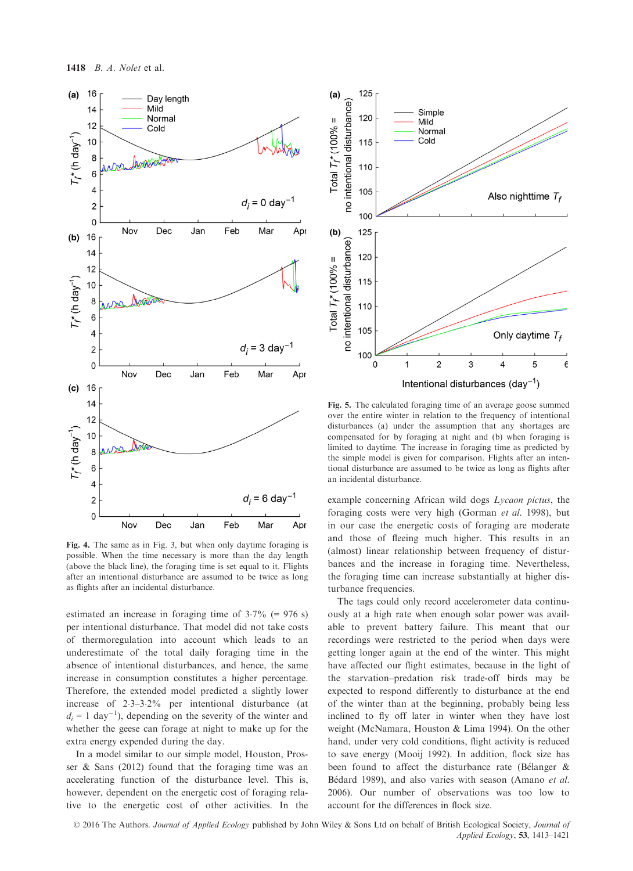

Fig. 4. The same as in Fig. 3, but when only daytime foraging is possible. When the time necessary is more than the day length (above the black line), the foraging time is set equal to it. Flights after an intentional disturbance are assumed to be twice as long as flights after an incidental disturbance.

estimated an increase in foraging time of  $3.7\%$  (= 976 s) per intentional disturbance. That model did not take costs of thermoregulation into account which leads to an underestimate of the total daily foraging time in the absence of intentional disturbances, and hence, the same increase in consumption constitutes a higher percentage. Therefore, the extended model predicted a slightly lower increase of 23–32% per intentional disturbance (at  $d_i = 1$  day<sup>-1</sup>), depending on the severity of the winter and whether the geese can forage at night to make up for the extra energy expended during the day.

In a model similar to our simple model, Houston, Prosser & Sans (2012) found that the foraging time was an accelerating function of the disturbance level. This is, however, dependent on the energetic cost of foraging relative to the energetic cost of other activities. In the



Fig. 5. The calculated foraging time of an average goose summed over the entire winter in relation to the frequency of intentional disturbances (a) under the assumption that any shortages are compensated for by foraging at night and (b) when foraging is limited to daytime. The increase in foraging time as predicted by the simple model is given for comparison. Flights after an intentional disturbance are assumed to be twice as long as flights after an incidental disturbance.

example concerning African wild dogs Lycaon pictus, the foraging costs were very high (Gorman et al. 1998), but in our case the energetic costs of foraging are moderate and those of fleeing much higher. This results in an (almost) linear relationship between frequency of disturbances and the increase in foraging time. Nevertheless, the foraging time can increase substantially at higher disturbance frequencies.

The tags could only record accelerometer data continuously at a high rate when enough solar power was available to prevent battery failure. This meant that our recordings were restricted to the period when days were getting longer again at the end of the winter. This might have affected our flight estimates, because in the light of the starvation–predation risk trade-off birds may be expected to respond differently to disturbance at the end of the winter than at the beginning, probably being less inclined to fly off later in winter when they have lost weight (McNamara, Houston & Lima 1994). On the other hand, under very cold conditions, flight activity is reduced to save energy (Mooij 1992). In addition, flock size has been found to affect the disturbance rate (Bélanger  $\&$ Bédard 1989), and also varies with season (Amano et al. 2006). Our number of observations was too low to account for the differences in flock size.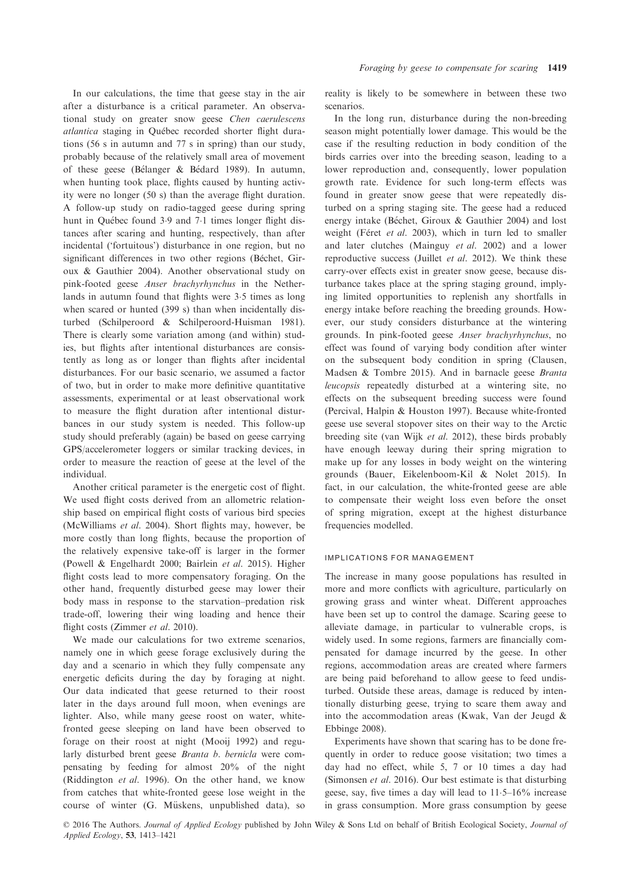In our calculations, the time that geese stay in the air after a disturbance is a critical parameter. An observational study on greater snow geese Chen caerulescens atlantica staging in Québec recorded shorter flight durations (56 s in autumn and 77 s in spring) than our study, probably because of the relatively small area of movement of these geese (Bélanger & Bédard 1989). In autumn, when hunting took place, flights caused by hunting activity were no longer (50 s) than the average flight duration. A follow-up study on radio-tagged geese during spring hunt in Québec found 3.9 and 7.1 times longer flight distances after scaring and hunting, respectively, than after incidental ('fortuitous') disturbance in one region, but no significant differences in two other regions (Béchet, Giroux & Gauthier 2004). Another observational study on pink-footed geese Anser brachyrhynchus in the Netherlands in autumn found that flights were 3.5 times as long when scared or hunted (399 s) than when incidentally disturbed (Schilperoord & Schilperoord-Huisman 1981). There is clearly some variation among (and within) studies, but flights after intentional disturbances are consistently as long as or longer than flights after incidental disturbances. For our basic scenario, we assumed a factor of two, but in order to make more definitive quantitative assessments, experimental or at least observational work to measure the flight duration after intentional disturbances in our study system is needed. This follow-up study should preferably (again) be based on geese carrying GPS/accelerometer loggers or similar tracking devices, in order to measure the reaction of geese at the level of the individual.

Another critical parameter is the energetic cost of flight. We used flight costs derived from an allometric relationship based on empirical flight costs of various bird species (McWilliams et al. 2004). Short flights may, however, be more costly than long flights, because the proportion of the relatively expensive take-off is larger in the former (Powell & Engelhardt 2000; Bairlein et al. 2015). Higher flight costs lead to more compensatory foraging. On the other hand, frequently disturbed geese may lower their body mass in response to the starvation–predation risk trade-off, lowering their wing loading and hence their flight costs (Zimmer et al. 2010).

We made our calculations for two extreme scenarios, namely one in which geese forage exclusively during the day and a scenario in which they fully compensate any energetic deficits during the day by foraging at night. Our data indicated that geese returned to their roost later in the days around full moon, when evenings are lighter. Also, while many geese roost on water, whitefronted geese sleeping on land have been observed to forage on their roost at night (Mooij 1992) and regularly disturbed brent geese Branta b. bernicla were compensating by feeding for almost 20% of the night (Riddington et al. 1996). On the other hand, we know from catches that white-fronted geese lose weight in the course of winter (G. Müskens, unpublished data), so

reality is likely to be somewhere in between these two scenarios.

In the long run, disturbance during the non-breeding season might potentially lower damage. This would be the case if the resulting reduction in body condition of the birds carries over into the breeding season, leading to a lower reproduction and, consequently, lower population growth rate. Evidence for such long-term effects was found in greater snow geese that were repeatedly disturbed on a spring staging site. The geese had a reduced energy intake (Béchet, Giroux & Gauthier 2004) and lost weight (Féret et al. 2003), which in turn led to smaller and later clutches (Mainguy et al. 2002) and a lower reproductive success (Juillet et al. 2012). We think these carry-over effects exist in greater snow geese, because disturbance takes place at the spring staging ground, implying limited opportunities to replenish any shortfalls in energy intake before reaching the breeding grounds. However, our study considers disturbance at the wintering grounds. In pink-footed geese Anser brachyrhynchus, no effect was found of varying body condition after winter on the subsequent body condition in spring (Clausen, Madsen & Tombre 2015). And in barnacle geese Branta leucopsis repeatedly disturbed at a wintering site, no effects on the subsequent breeding success were found (Percival, Halpin & Houston 1997). Because white-fronted geese use several stopover sites on their way to the Arctic breeding site (van Wijk et al. 2012), these birds probably have enough leeway during their spring migration to make up for any losses in body weight on the wintering grounds (Bauer, Eikelenboom-Kil & Nolet 2015). In fact, in our calculation, the white-fronted geese are able to compensate their weight loss even before the onset of spring migration, except at the highest disturbance frequencies modelled.

#### IMPLICATIONS FOR MANAGEMENT

The increase in many goose populations has resulted in more and more conflicts with agriculture, particularly on growing grass and winter wheat. Different approaches have been set up to control the damage. Scaring geese to alleviate damage, in particular to vulnerable crops, is widely used. In some regions, farmers are financially compensated for damage incurred by the geese. In other regions, accommodation areas are created where farmers are being paid beforehand to allow geese to feed undisturbed. Outside these areas, damage is reduced by intentionally disturbing geese, trying to scare them away and into the accommodation areas (Kwak, Van der Jeugd & Ebbinge 2008).

Experiments have shown that scaring has to be done frequently in order to reduce goose visitation; two times a day had no effect, while 5, 7 or 10 times a day had (Simonsen et al. 2016). Our best estimate is that disturbing geese, say, five times a day will lead to  $11.5-16\%$  increase in grass consumption. More grass consumption by geese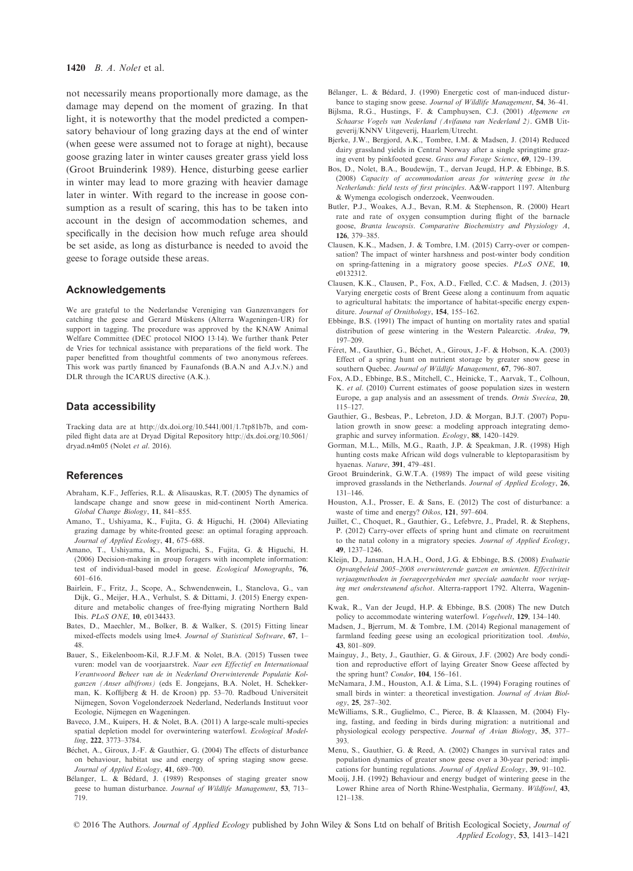#### 1420 B. A. Nolet et al.

not necessarily means proportionally more damage, as the damage may depend on the moment of grazing. In that light, it is noteworthy that the model predicted a compensatory behaviour of long grazing days at the end of winter (when geese were assumed not to forage at night), because goose grazing later in winter causes greater grass yield loss (Groot Bruinderink 1989). Hence, disturbing geese earlier in winter may lead to more grazing with heavier damage later in winter. With regard to the increase in goose consumption as a result of scaring, this has to be taken into account in the design of accommodation schemes, and specifically in the decision how much refuge area should be set aside, as long as disturbance is needed to avoid the geese to forage outside these areas.

# Acknowledgements

We are grateful to the Nederlandse Vereniging van Ganzenvangers for catching the geese and Gerard Müskens (Alterra Wageningen-UR) for support in tagging. The procedure was approved by the KNAW Animal Welfare Committee (DEC protocol NIOO 1314). We further thank Peter de Vries for technical assistance with preparations of the field work. The paper benefitted from thoughtful comments of two anonymous referees. This work was partly financed by Faunafonds (B.A.N and A.J.v.N.) and DLR through the ICARUS directive (A.K.).

#### Data accessibility

Tracking data are at [http://dx.doi.org/10.5441/001/1.7tp81b7b,](http://dx.doi.org/10.5441/001/1.7tp81b7b) and compiled flight data are at Dryad Digital Repository [http://dx.doi.org/10.5061/](http://dx.doi.org/10.5061/dryad.n4m05) [dryad.n4m05](http://dx.doi.org/10.5061/dryad.n4m05) (Nolet et al. 2016).

## **References**

- Abraham, K.F., Jefferies, R.L. & Alisauskas, R.T. (2005) The dynamics of landscape change and snow geese in mid-continent North America. Global Change Biology, 11, 841–855.
- Amano, T., Ushiyama, K., Fujita, G. & Higuchi, H. (2004) Alleviating grazing damage by white-fronted geese: an optimal foraging approach. Journal of Applied Ecology, 41, 675–688.
- Amano, T., Ushiyama, K., Moriguchi, S., Fujita, G. & Higuchi, H. (2006) Decision-making in group foragers with incomplete information: test of individual-based model in geese. Ecological Monographs, 76, 601–616.
- Bairlein, F., Fritz, J., Scope, A., Schwendenwein, I., Stanclova, G., van Dijk, G., Meijer, H.A., Verhulst, S. & Dittami, J. (2015) Energy expenditure and metabolic changes of free-flying migrating Northern Bald Ibis.  $PLoS$   $ONF$  10, e0134433.
- Bates, D., Maechler, M., Bolker, B. & Walker, S. (2015) Fitting linear mixed-effects models using lme4. Journal of Statistical Software, 67, 1– 48.
- Bauer, S., Eikelenboom-Kil, R.J.F.M. & Nolet, B.A. (2015) Tussen twee vuren: model van de voorjaarstrek. Naar een Effectief en Internationaal Verantwoord Beheer van de in Nederland Overwinterende Populatie Kolganzen (Anser albifrons) (eds E. Jongejans, B.A. Nolet, H. Schekkerman, K. Koffijberg & H. de Kroon) pp. 53–70. Radboud Universiteit Nijmegen, Sovon Vogelonderzoek Nederland, Nederlands Instituut voor Ecologie, Nijmegen en Wageningen.
- Baveco, J.M., Kuipers, H. & Nolet, B.A. (2011) A large-scale multi-species spatial depletion model for overwintering waterfowl. Ecological Modelling, 222, 3773–3784.
- Béchet, A., Giroux, J.-F. & Gauthier, G. (2004) The effects of disturbance on behaviour, habitat use and energy of spring staging snow geese. Journal of Applied Ecology, 41, 689–700.
- Bélanger, L. & Bédard, J. (1989) Responses of staging greater snow geese to human disturbance. Journal of Wildlife Management, 53, 713-719.
- Bélanger, L. & Bédard, J. (1990) Energetic cost of man-induced disturbance to staging snow geese. Journal of Wildlife Management, 54, 36–41.
- Bijlsma, R.G., Hustings, F. & Camphuysen, C.J. (2001) Algemene en Schaarse Vogels van Nederland (Avifauna van Nederland 2). GMB Uitgeverij/KNNV Uitgeverij, Haarlem/Utrecht.
- Bjerke, J.W., Bergjord, A.K., Tombre, I.M. & Madsen, J. (2014) Reduced dairy grassland yields in Central Norway after a single springtime grazing event by pinkfooted geese. Grass and Forage Science, 69, 129–139.
- Bos, D., Nolet, B.A., Boudewijn, T., dervan Jeugd, H.P. & Ebbinge, B.S. (2008) Capacity of accommodation areas for wintering geese in the Netherlands: field tests of first principles. A&W-rapport 1197. Altenburg & Wymenga ecologisch onderzoek, Veenwouden.
- Butler, P.J., Woakes, A.J., Bevan, R.M. & Stephenson, R. (2000) Heart rate and rate of oxygen consumption during flight of the barnacle goose, Branta leucopsis. Comparative Biochemistry and Physiology A, 126, 379–385.
- Clausen, K.K., Madsen, J. & Tombre, I.M. (2015) Carry-over or compensation? The impact of winter harshness and post-winter body condition on spring-fattening in a migratory goose species. PLoS ONE, 10, e0132312.
- Clausen, K.K., Clausen, P., Fox, A.D., Fælled, C.C. & Madsen, J. (2013) Varying energetic costs of Brent Geese along a continuum from aquatic to agricultural habitats: the importance of habitat-specific energy expenditure. Journal of Ornithology, 154, 155–162.
- Ebbinge, B.S. (1991) The impact of hunting on mortality rates and spatial distribution of geese wintering in the Western Palearctic. Ardea, 79, 197–209.
- Féret, M., Gauthier, G., Béchet, A., Giroux, J.-F. & Hobson, K.A. (2003) Effect of a spring hunt on nutrient storage by greater snow geese in southern Quebec. Journal of Wildlife Management, 67, 796-807.
- Fox, A.D., Ebbinge, B.S., Mitchell, C., Heinicke, T., Aarvak, T., Colhoun, K. et al. (2010) Current estimates of goose population sizes in western Europe, a gap analysis and an assessment of trends. Ornis Svecica, 20, 115–127.
- Gauthier, G., Besbeas, P., Lebreton, J.D. & Morgan, B.J.T. (2007) Population growth in snow geese: a modeling approach integrating demographic and survey information. Ecology, 88, 1420–1429.
- Gorman, M.L., Mills, M.G., Raath, J.P. & Speakman, J.R. (1998) High hunting costs make African wild dogs vulnerable to kleptoparasitism by hyaenas. Nature, 391, 479–481.
- Groot Bruinderink, G.W.T.A. (1989) The impact of wild geese visiting improved grasslands in the Netherlands. Journal of Applied Ecology, 26, 131–146.
- Houston, A.I., Prosser, E. & Sans, E. (2012) The cost of disturbance: a waste of time and energy? Oikos, 121, 597–604.
- Juillet, C., Choquet, R., Gauthier, G., Lefebvre, J., Pradel, R. & Stephens, P. (2012) Carry-over effects of spring hunt and climate on recruitment to the natal colony in a migratory species. Journal of Applied Ecology, 49, 1237–1246.
- Kleijn, D., Jansman, H.A.H., Oord, J.G. & Ebbinge, B.S. (2008) Evaluatie Opvangbeleid 2005–2008 overwinterende ganzen en smienten. Effectiviteit verjaagmethoden in foerageergebieden met speciale aandacht voor verjaging met ondersteunend afschot. Alterra-rapport 1792. Alterra, Wageningen.
- Kwak, R., Van der Jeugd, H.P. & Ebbinge, B.S. (2008) The new Dutch policy to accommodate wintering waterfowl. Vogelwelt, 129, 134–140.
- Madsen, J., Bjerrum, M. & Tombre, I.M. (2014) Regional management of farmland feeding geese using an ecological prioritization tool. Ambio, 43, 801–809.
- Mainguy, J., Bety, J., Gauthier, G. & Giroux, J.F. (2002) Are body condition and reproductive effort of laying Greater Snow Geese affected by the spring hunt? Condor, 104, 156–161.
- McNamara, J.M., Houston, A.I. & Lima, S.L. (1994) Foraging routines of small birds in winter: a theoretical investigation. Journal of Avian Biology, 25, 287–302.
- McWilliams, S.R., Guglielmo, C., Pierce, B. & Klaassen, M. (2004) Flying, fasting, and feeding in birds during migration: a nutritional and physiological ecology perspective. Journal of Avian Biology, 35, 377– 393.
- Menu, S., Gauthier, G. & Reed, A. (2002) Changes in survival rates and population dynamics of greater snow geese over a 30-year period: implications for hunting regulations. Journal of Applied Ecology, 39, 91–102.
- Mooij, J.H. (1992) Behaviour and energy budget of wintering geese in the Lower Rhine area of North Rhine-Westphalia, Germany. Wildfowl, 43, 121–138.